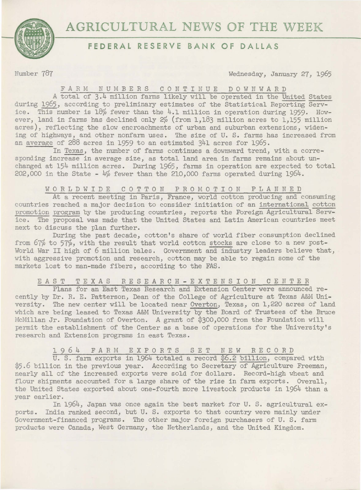

# **FEDERAL RESERVE BANK OF DALLAS**

Number 787 Wednesday, January 27, 1965

#### FA RM NUMBERS CONTINUE DOW <sup>N</sup> WARD

A total of 3.4 million farms likely will be operated in the United States during 1965, according to preliminary estimates of the Statistical Reporting Service. This number is  $18\%$  fewer than the 4.1 million in operation during 1959. However, land in farms has declined only  $2\%$  (from 1,183 million acres to 1,155 million acres), reflecting the slow encroachments of urban and suburban extensions, widening of highways, and other nonfarm uses. The size of U. S. farms has increased from an average of 288 acres in 1959 to an estimated 341 acres for 1965.

In Texas, the number of farms continues a downward trend, with a corresponding increase in average size, as total land area in farms remains about unchanged at 154 million acres. During 1965, farms in operation are expected to total 202,000 in the State - 4% fewer than the 210,000 farms operated during 1964.

### WORLDWIDE COTTON PROMOTION PLANNED

At a recent meeting in Paris, France, world cotton producing and consuming countries reached a major decision to consider initiation of an international cotton promotion program by the producing countries, reports the Foreign Agricultural Service. The proposal was made that the United States and Latin American countries meet next to discuss the plan further.

During the past decade, cotton's share of world fiber consumption declined from 67% to 57%, with the result that world cotton stocks are close to a new post-World War II high of 6 million bales. Government and industry leaders believe that, with aggressive promotion and research, cotton may be able to regain some of the markets lost to man-made fibers, according to the FAS.

## EAST TEXAS RESEARCH-EXTENSION CENTER

Plans for an East Texas Research and Extension Center were announced recently by Dr. R. E. Patterson, Dean of the College of Agriculture at Texas A&M University. The new center will be located near Overton, Texas, on 1,220 acres of land which are being leased to Texas A&M University by the Board of Trustees of the Bruce McMillan Jr. Foundation of Overton. A grant of \$300,000 from the Foundation will pe rmit the establishment of the Center as a base of operations for the University's research and Extension programs in east Texas.

## 1964 FARM EXPORTS SET NEW RECORD

U. S. farm exports in 1964 totaled a record \$6.2 billion, compared with \$5.6 billion in the previous year. According to Secretary of Agriculture Freeman, nearly all of the increased exports were sold for dollars. Record-high wheat and flour shipments accounted for a large share of the rise in farm exports. Overall. the United States exported about one-fourth more livestock products in  $1964$  than a year earlier.

In 1964, Japan was once again the best market for U. S. agricultural exports. India ranked second, but U. S. exports to that country were mainly under Government-financed programs. The other major foreign purchasers of U. S. farm products were Canada, West Germany, the Netherlands, and the United Kingdom.